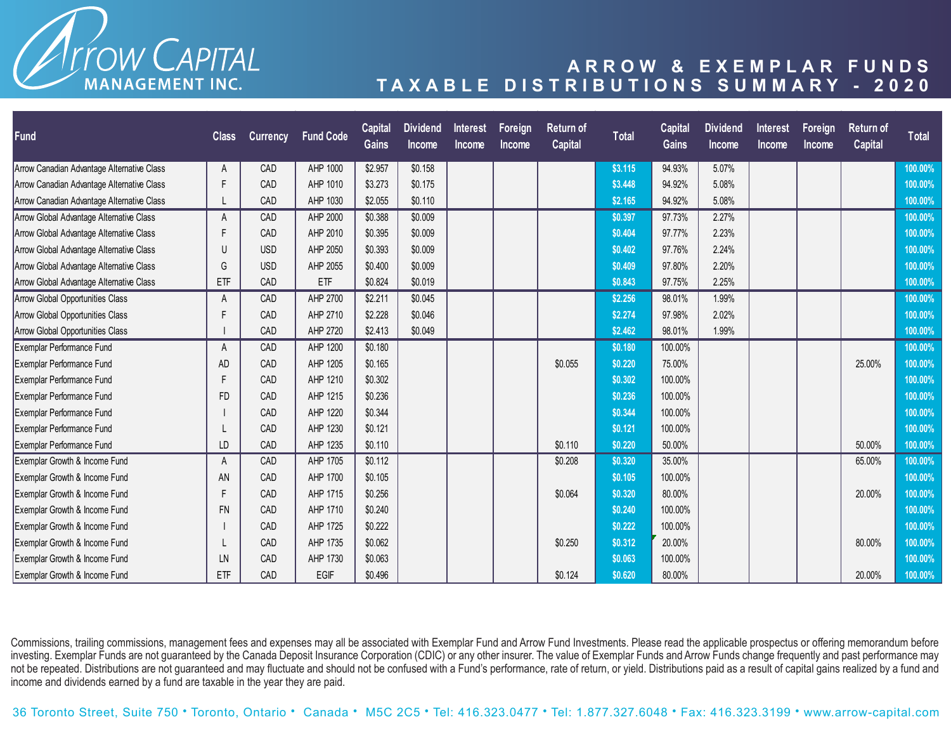

## **ARROW & EXEMPLAR FUNDS TAXABLE DISTRIBUTIONS SUMMARY - 2020**

| <b>Fund</b>                                | <b>Class</b> | <b>Currency</b> | <b>Fund Code</b> | Capital<br><b>Gains</b> | <b>Dividend</b><br><b>Income</b> | <b>Interest</b><br><b>Income</b> | Foreign<br><b>Income</b> | <b>Return of</b><br>Capital | <b>Total</b> | <b>Capital</b><br>Gains | <b>Dividend</b><br>Income | <b>Interest</b><br><b>Income</b> | <b>Foreign</b><br><b>Income</b> | Return of<br><b>Capital</b> | <b>Total</b> |
|--------------------------------------------|--------------|-----------------|------------------|-------------------------|----------------------------------|----------------------------------|--------------------------|-----------------------------|--------------|-------------------------|---------------------------|----------------------------------|---------------------------------|-----------------------------|--------------|
| Arrow Canadian Advantage Alternative Class | A            | CAD             | AHP 1000         | \$2.957                 | \$0.158                          |                                  |                          |                             | \$3.115      | 94.93%                  | 5.07%                     |                                  |                                 |                             | 100.00%      |
| Arrow Canadian Advantage Alternative Class | Е            | CAD             | AHP 1010         | \$3.273                 | \$0.175                          |                                  |                          |                             | \$3.448      | 94.92%                  | 5.08%                     |                                  |                                 |                             | 100.00%      |
| Arrow Canadian Advantage Alternative Class |              | CAD             | AHP 1030         | \$2.055                 | \$0.110                          |                                  |                          |                             | \$2.165      | 94.92%                  | 5.08%                     |                                  |                                 |                             | 100.00%      |
| Arrow Global Advantage Alternative Class   | А            | CAD             | AHP 2000         | \$0.388                 | \$0.009                          |                                  |                          |                             | \$0.397      | 97.73%                  | 2.27%                     |                                  |                                 |                             | 100.00%      |
| Arrow Global Advantage Alternative Class   |              | CAD             | AHP 2010         | \$0.395                 | \$0.009                          |                                  |                          |                             | \$0.404      | 97.77%                  | 2.23%                     |                                  |                                 |                             | 100.00%      |
| Arrow Global Advantage Alternative Class   | U            | <b>USD</b>      | AHP 2050         | \$0.393                 | \$0.009                          |                                  |                          |                             | \$0.402      | 97.76%                  | 2.24%                     |                                  |                                 |                             | 100.00%      |
| Arrow Global Advantage Alternative Class   | G            | <b>USD</b>      | AHP 2055         | \$0.400                 | \$0.009                          |                                  |                          |                             | \$0.409      | 97.80%                  | 2.20%                     |                                  |                                 |                             | 100.00%      |
| Arrow Global Advantage Alternative Class   | ETF          | CAD             | <b>ETF</b>       | \$0.824                 | \$0.019                          |                                  |                          |                             | \$0.843      | 97.75%                  | 2.25%                     |                                  |                                 |                             | 100.00%      |
| Arrow Global Opportunities Class           | A            | CAD             | AHP 2700         | \$2.211                 | \$0.045                          |                                  |                          |                             | \$2.256      | 98.01%                  | 1.99%                     |                                  |                                 |                             | 100.00%      |
| Arrow Global Opportunities Class           |              | CAD             | AHP 2710         | \$2.228                 | \$0.046                          |                                  |                          |                             | \$2.274      | 97.98%                  | 2.02%                     |                                  |                                 |                             | 100.00%      |
| Arrow Global Opportunities Class           |              | CAD             | AHP 2720         | \$2.413                 | \$0.049                          |                                  |                          |                             | \$2.462      | 98.01%                  | 1.99%                     |                                  |                                 |                             | 100.00%      |
| Exemplar Performance Fund                  | A            | CAD             | AHP 1200         | \$0.180                 |                                  |                                  |                          |                             | \$0.180      | 100.00%                 |                           |                                  |                                 |                             | 100.00%      |
| Exemplar Performance Fund                  | AD           | CAD             | AHP 1205         | \$0.165                 |                                  |                                  |                          | \$0.055                     | \$0.220      | 75.00%                  |                           |                                  |                                 | 25.00%                      | 100.00%      |
| <b>Exemplar Performance Fund</b>           |              | CAD             | AHP 1210         | \$0.302                 |                                  |                                  |                          |                             | \$0.302      | 100.00%                 |                           |                                  |                                 |                             | 100.00%      |
| Exemplar Performance Fund                  | FD           | CAD             | AHP 1215         | \$0.236                 |                                  |                                  |                          |                             | \$0.236      | 100.00%                 |                           |                                  |                                 |                             | 100.00%      |
| Exemplar Performance Fund                  |              | CAD             | AHP 1220         | \$0.344                 |                                  |                                  |                          |                             | \$0.344      | 100.00%                 |                           |                                  |                                 |                             | 100.00%      |
| Exemplar Performance Fund                  |              | CAD             | AHP 1230         | \$0.121                 |                                  |                                  |                          |                             | \$0.121      | 100.00%                 |                           |                                  |                                 |                             | 100.00%      |
| <b>Exemplar Performance Fund</b>           | LD           | CAD             | AHP 1235         | \$0.110                 |                                  |                                  |                          | \$0.110                     | \$0.220      | 50.00%                  |                           |                                  |                                 | 50.00%                      | 100.00%      |
| Exemplar Growth & Income Fund              | А            | CAD             | AHP 1705         | \$0.112                 |                                  |                                  |                          | \$0.208                     | \$0.320      | 35.00%                  |                           |                                  |                                 | 65.00%                      | 100.00%      |
| Exemplar Growth & Income Fund              | AN           | CAD             | AHP 1700         | \$0.105                 |                                  |                                  |                          |                             | \$0.105      | 100.00%                 |                           |                                  |                                 |                             | 100.00%      |
| Exemplar Growth & Income Fund              |              | CAD             | AHP 1715         | \$0.256                 |                                  |                                  |                          | \$0.064                     | \$0.320      | 80.00%                  |                           |                                  |                                 | 20.00%                      | 100.00%      |
| Exemplar Growth & Income Fund              | <b>FN</b>    | CAD             | AHP 1710         | \$0.240                 |                                  |                                  |                          |                             | \$0.240      | 100.00%                 |                           |                                  |                                 |                             | 100.00%      |
| Exemplar Growth & Income Fund              |              | CAD             | AHP 1725         | \$0.222                 |                                  |                                  |                          |                             | \$0.222      | 100.00%                 |                           |                                  |                                 |                             | 100.00%      |
| Exemplar Growth & Income Fund              |              | CAD             | AHP 1735         | \$0.062                 |                                  |                                  |                          | \$0.250                     | \$0.312      | 20.00%                  |                           |                                  |                                 | 80.00%                      | 100.00%      |
| Exemplar Growth & Income Fund              | LN           | CAD             | AHP 1730         | \$0.063                 |                                  |                                  |                          |                             | \$0.063      | 100.00%                 |                           |                                  |                                 |                             | 100.00%      |
| Exemplar Growth & Income Fund              | ETF          | CAD             | EGIF             | \$0.496                 |                                  |                                  |                          | \$0.124                     | \$0.620      | 80.00%                  |                           |                                  |                                 | 20.00%                      | 100.00%      |

Commissions, trailing commissions, management fees and expenses may all be associated with Exemplar Fund and Arrow Fund Investments. Please read the applicable prospectus or offering memorandum before investing. Exemplar Funds are not guaranteed by the Canada Deposit Insurance Corporation (CDIC) or any other insurer. The value of Exemplar Funds and Arrow Funds change frequently and past performance may not be repeated. Distributions are not guaranteed and may fluctuate and should not be confused with a Fund's performance, rate of return, or yield. Distributions paid as a result of capital gains realized by a fund and income and dividends earned by a fund are taxable in the year they are paid.

36 Toronto Street, Suite 750 • Toronto, Ontario • Canada • M5C 2C5 • Tel: 416.323.0477 • Tel: 1.877.327.6048 • Fax: 416.323.3199 • www.arrow-capital.com